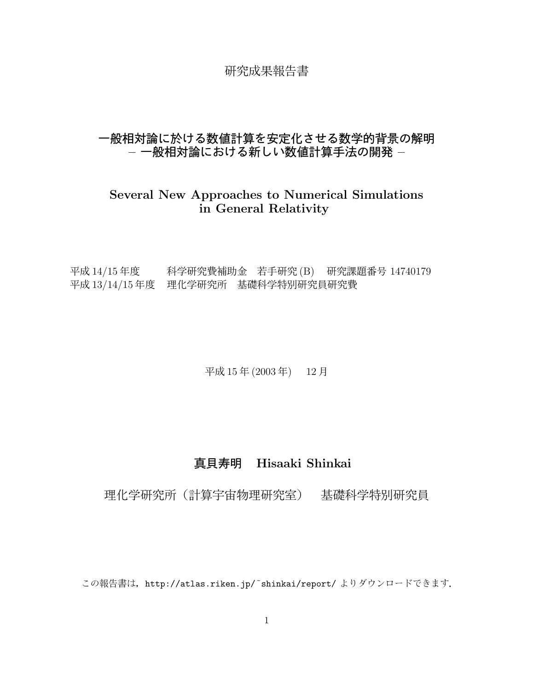# 研究成果報告書

# 一般相対論に於ける数値計算を安定化させる数学的背景の解明 – 一 般相対論に お け る 新しい 数値計算手法の 開発 –

# Several New Approaches to Numerical Simulations in General Relativity

平成  $14/15$  年度  $\qquad$  科学研究費補助金 若手研究 (B) 研究課題番号 14740179 平成 13/14/15 年度 理化学研究所 基礎科学特別研究員研究費

平成 15 年 (2003 年) 12 月

# 真貝寿明 Hisaaki Shinkai

# 理化学研究所 (計算宇宙物理研究室) 基礎科学特別研究員

この報告書は、http://atlas.riken.jp/~shinkai/report/ よりダウンロードできます.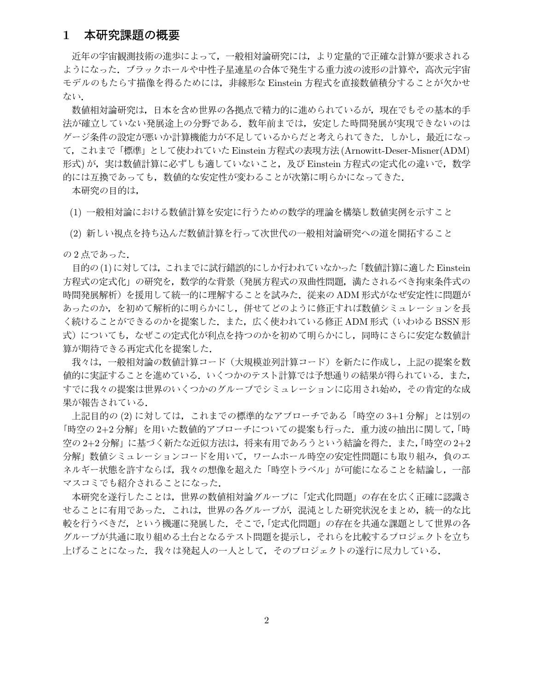# 1 本研究課題の概要

近年の宇宙観測技術の進歩によって、一般相対論研究には、より定量的で正確な計算が要求される ようになった. ブラックホールや中性子星連星の合体で発生する重力波の波形の計算や, 高次元宇宙 モデルのもたらす描像を得るためには、非線形な Einstein 方程式を直接数値積分することが欠かせ ない.

数値相対論研究は、日本を含め世界の各拠点で精力的に進められているが、現在でもその基本的手 法が確立していない発展途上の分野である。数年前までは、安定した時間発展が実現できないのは ゲージ条件の設定が悪いか計算機能力が不足しているからだと考えられてきた. しかし, 最近になっ て , こ れ ま で 「 標準」 と して 使わ れ て い た Einstein 方程式の 表現方法 (Arnowitt-Deser-Misner(ADM) 形式)が,実は数値計算に必ずしも適していないこと,及び Einstein 方程式の定式化の違いで,数学 的には互換であっても,数値的な安定性が変わることが次第に明らかになってきた.

本研究の目的は,

(1) 一般相対論における数値計算を安定に行うための数学的理論を構築し数値実例を示すこと

(2) 新しい視点を持ち込んだ数値計算を行って次世代の一般相対論研究への道を開拓すること

の2点であった.

目的の(1)に対しては,これまでに試行錯誤的にしか行われていなかった「数値計算に適した Einstein 方程式の定式化」の研究を,数学的な背景(発展方程式の双曲性問題,満たされるべき拘束条件式の 時間発展解析)を援用して統一的に理解することを試みた. 従来の ADM 形式がなぜ安定性に問題が あったのか、を初めて解析的に明らかにし、併せてどのように修正すれば数値シミュレーションを長 く続けることができるのかを提案した. また,広く使われている修正 ADM 形式(いわゆる BSSN 形 式)についても、なぜこの定式化が利点を持つのかを初めて明らかにし、同時にさらに安定な数値計 算が期待できる再定式化を提案した.

我々は、一般相対論の数値計算コード(大規模並列計算コード)を新たに作成し、上記の提案を数 値的に実証することを進めている. いくつかのテスト計算では予想通りの結果が得られている. また, すでに我々の提案は世界のいくつかのグループでシミュレーションに応用され始め,その肯定的な成 果が報告されている.

上記目的の(2)に対しては、これまでの標準的なアプローチである「時空の3+1分解」とは別の 「時空の 2+2分解」を用いた数値的アプローチについての提案も行った. 重力波の抽出に関して,「時 空の 2+2 分解」に基づく新たな近似方法は、将来有用であろうという結論を得た. また,「時空の 2+2 分解」数値シミュレーションコードを用いて,ワームホール時空の安定性問題にも取り組み,負のエ ネルギー状態を許すならば、我々の想像を超えた「時空トラベル」が可能になることを結論し、一部 マスコミでも紹介されることになった.

本研究を遂行したことは,世界の数値相対論グループに「定式化問題」の存在を広く正確に認識さ せることに有用であった. これは, 世界の各グループが, 混沌とした研究状況をまとめ, 統一的な比 較を行うべきだ、という機運に発展した. そこで,「定式化問題」の存在を共通な課題として世界の各 グループが共通に取り組める土台となるテスト問題を提示し、それらを比較するプロジェクトを立ち 上げることになった. 我々は発起人の一人として, そのプロジェクトの遂行に尽力している.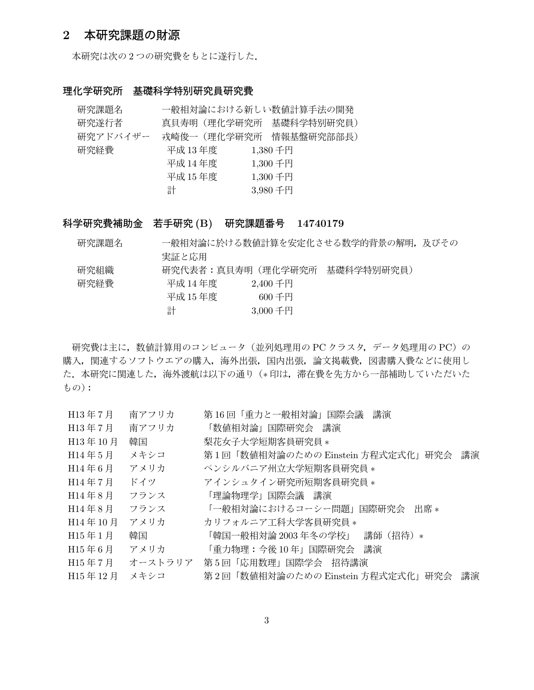### 2 本研究課題の財源

本研究は次の2つの研究費をもとに遂行した.

#### 理化学研究所 基礎科学特別研究員研究費

| 研究課題名    |              | 一般相対論における新しい数値計算手法の開発  |
|----------|--------------|------------------------|
| 研究遂行者    | 真貝寿明(理化学研究所) | 基礎科学特別研究員)             |
| 研究アドバイザー |              | 戎崎俊一(理化学研究所 情報基盤研究部部長) |
| 研究経費     | 平成 13年度      | $1,380$ 千円             |
|          | 平成 14 年度     | 1,300千円                |
|          | 平成 15 年度     | $1,300$ 千円             |
|          | 計            | 3,980千円                |

科学研究費補助金 若手研究 (B) 研究課題番号 14740179

| 研究課題名 |                   |             | 一般相対論に於ける数値計算を安定化させる数学的背景の解明,及びその |  |
|-------|-------------------|-------------|-----------------------------------|--|
|       | 実証と応用             |             |                                   |  |
| 研究組織  | 研究代表者:真貝寿明(理化学研究所 |             | 基礎科学特別研究員)                        |  |
| 研究経費  | 平成 14 年度          | $2,400$ 千円  |                                   |  |
|       | 平成 15 年度          | 600 $+$ H   |                                   |  |
|       | 計                 | $3,000 + H$ |                                   |  |

研究費は主に, 数値計算用のコンピュータ (並列処理用の PC クラスタ, データ処理用の PC) の 購入、関連するソフトウエアの購入、海外出張、国内出張、論文掲載費、図書購入費などに使用し た. 本研究に関連した, 海外渡航は以下の通り(\*印は、滞在費を先方から一部補助していただいた もの):

| H13年7月    | 南アフリカ   | 第 16 回「重力と一般相対論」国際会議<br>講演              |
|-----------|---------|-----------------------------------------|
| H13年7月    | 南アフリカ   | 「数値相対論」国際研究会 講演                         |
| H13年10月   | 韓国      | 梨花女子大学短期客員研究員 *                         |
| $H14$ 年5月 | メキシコ    | 第1回「数値相対論のための Einstein 方程式定式化」研究会 講演    |
| H14年6月    | アメリカ    | ペンシルバニア州立大学短期客員研究員 *                    |
| H14年7月    | ドイツ     | アインシュタイン研究所短期客員研究員 *                    |
| $H14$ 年8月 | フランス    | 「理論物理学」国際会議 講演                          |
| H14年8月    | フランス    | 「一般相対論におけるコーシー問題」国際研究会 出席*              |
| H14年10月   | アメリカ    | カリフォルニア工科大学客員研究員 *                      |
| H15年1月    | 韓国      | 「韓国一般相対論 2003 年冬の学校」<br>講師 (招待) *       |
| H15年6月    | アメリカ    | 「重力物理:今後 10 年」国際研究会<br>講演               |
| H15年7月    | オーストラリア | 第5回「応用数理」国際学会 招待講演                      |
| H15年12月   | メキシコ    | 第2回「数値相対論のための Einstein 方程式定式化」研究会<br>講演 |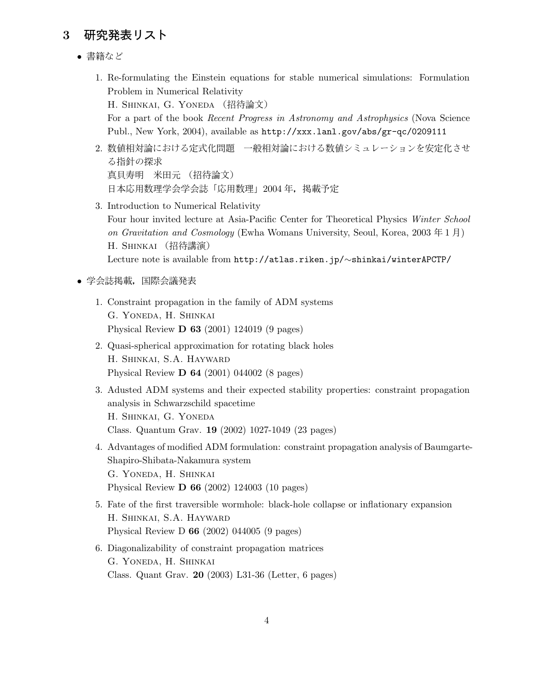# 3 研究発表リスト

- 書籍など
	- 1. Re-formulating the Einstein equations for stable numerical simulations: Formulation Problem in Numerical Relativity H. SHINKAI, G. YONEDA (招待論文) For a part of the book Recent Progress in Astronomy and Astrophysics (Nova Science Publ., New York, 2004), available as http://xxx.lanl.gov/abs/gr-qc/0209111
	- 2. 数値相対論における定式化問題 一般相対論における数値シミュレーションを安定化させ る指針の探求 真貝寿明 米田元 (招待論文) 日本応用数理学会学会誌「 応用数理」 2004 年, 掲載予定
	- 3. Introduction to Numerical Relativity Four hour invited lecture at Asia-Pacific Center for Theoretical Physics Winter School on Gravitation and Cosmology (Ewha Womans University, Seoul, Korea, 2003  $\pm 1$   $\hbox{F}$ ) H. Shinkai ( 招待講演 ) Lecture note is available from http://atlas.riken.jp/∼shinkai/winterAPCTP/
- 学会誌掲載,国際会議発表
	- 1. Constraint propagation in the family of ADM systems G. Yoneda, H. Shinkai Physical Review D 63 (2001) 124019 (9 pages)
	- 2. Quasi-spherical approximation for rotating black holes H. Shinkai, S.A. Hayward Physical Review D 64 (2001) 044002 (8 pages)
	- 3. Adusted ADM systems and their expected stability properties: constraint propagation analysis in Schwarzschild spacetime H. Shinkai, G. Yoneda Class. Quantum Grav. 19 (2002) 1027-1049 (23 pages)
	- 4. Advantages of modified ADM formulation: constraint propagation analysis of Baumgarte-Shapiro-Shibata-Nakamura system G. Yoneda, H. Shinkai Physical Review D 66 (2002) 124003 (10 pages)
	- 5. Fate of the first traversible wormhole: black-hole collapse or inflationary expansion H. Shinkai, S.A. Hayward Physical Review D 66 (2002) 044005 (9 pages)
	- 6. Diagonalizability of constraint propagation matrices G. Yoneda, H. Shinkai Class. Quant Grav. 20 (2003) L31-36 (Letter, 6 pages)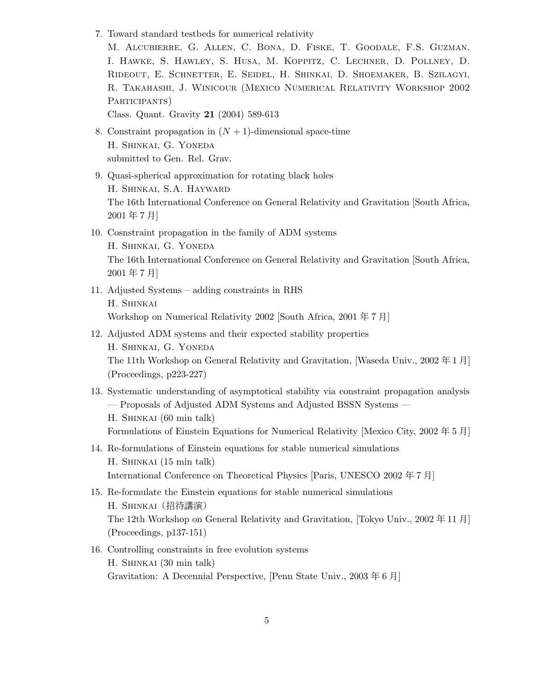7. Toward standard testbeds for numerical relativity

M. Alcubierre, G. Allen, C. Bona, D. Fiske, T. Goodale, F.S. Guzman, I. Hawke, S. Hawley, S. Husa, M. Koppitz, C. Lechner, D. Pollney, D. Rideout, E. Schnetter, E. Seidel, H. Shinkai, D. Shoemaker, B. Szilagyi, R. Takahashi, J. Winicour (Mexico Numerical Relativity Workshop 2002 PARTICIPANTS)

Class. Quant. Gravity 21 (2004) 589-613

- 8. Constraint propagation in  $(N + 1)$ -dimensional space-time H. Shinkai, G. Yoneda submitted to Gen. Rel. Grav.
- 9. Quasi-spherical approximation for rotating black holes H. Shinkai, S.A. Hayward The 16th International Conference on General Relativity and Gravitation [South Africa, 2001 年 7 月]
- 10. Cosnstraint propagation in the family of ADM systems H. Shinkai, G. Yoneda The 16th International Conference on General Relativity and Gravitation [South Africa, 2001 年 7 月]
- 11. Adjusted Systems adding constraints in RHS H. Shinkai Workshop on Numerical Relativity 2002 [South Africa, 2001 年 7 月]
- 12. Adjusted ADM systems and their expected stability properties H. Shinkai, G. Yoneda The 11th Workshop on General Relativity and Gravitation, [Waseda Univ., 2002 年 1 月] (Proceedings, p223-227)
- 13. Systematic understanding of asymptotical stability via constraint propagation analysis — Proposals of Adjusted ADM Systems and Adjusted BSSN Systems — H. Shinkai (60 min talk) Formulations of Einstein Equations for Numerical Relativity [Mexico City, 2002 年 5 月]
- 14. Re-formulations of Einstein equations for stable numerical simulations H. Shinkai (15 min talk) International Conference on Theoretical Physics [Paris, UNESCO 2002 年 7 月]
- 15. Re-formulate the Einstein equations for stable numerical simulations H. SHINKAI (招待講演) The 12th Workshop on General Relativity and Gravitation, [Tokyo Univ., 2002 年 11 月] (Proceedings, p137-151)
- 16. Controlling constraints in free evolution systems H. Shinkai (30 min talk) Gravitation: A Decennial Perspective, [Penn State Univ., 2003 年 6 月]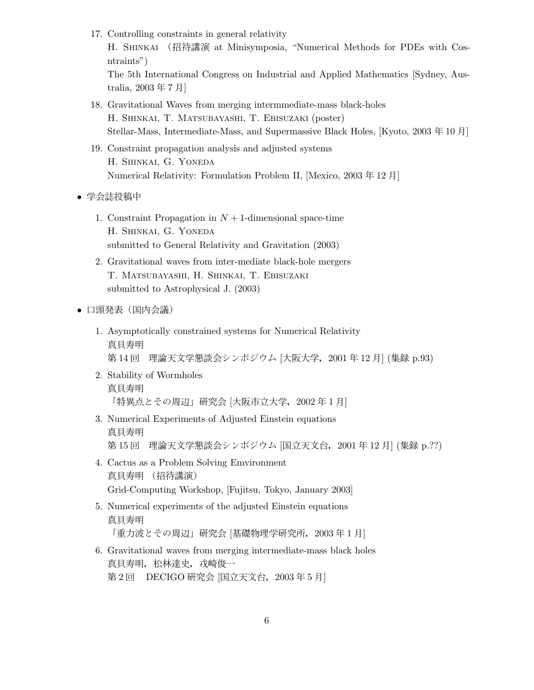17. Controlling constraints in general relativity

H. Shinkai ( 招待講演 at Minisymposia, "Numerical Methods for PDEs with Cosntraints")

The 5th International Congress on Industrial and Applied Mathematics [Sydney, Australia, 2003 年 7 月]

- 18. Gravitational Waves from merging intermmediate-mass black-holes H. Shinkai, T. Matsubayashi, T. Ebisuzaki (poster) Stellar-Mass, Intermediate-Mass, and Supermassive Black Holes, [Kyoto, 2003 年 10 月]
- 19. Constraint propagation analysis and adjusted systems H. Shinkai, G. Yoneda Numerical Relativity: Formulation Problem II, [Mexico, 2003 年 12 月]
- 学会誌投稿中
	- 1. Constraint Propagation in  $N + 1$ -dimensional space-time H. Shinkai, G. Yoneda submitted to General Relativity and Gravitation (2003)
	- 2. Gravitational waves from inter-mediate black-hole mergers T. Matsubayashi, H. Shinkai, T. Ebisuzaki submitted to Astrophysical J. (2003)
- 口頭発表(国内会議)
	- 1. Asymptotically constrained systems for Numerical Relativity 真貝寿明 第14回 理論天文学懇談会シンポジウム [大阪大学, 2001年12月] (集録 p.93)
	- 2. Stability of Wormholes 真貝寿明 「特異点とその周辺」研究会 [大阪市立大学, 2002年1月]
	- 3. Numerical Experiments of Adjusted Einstein equations 真貝寿明 第15回 理論天文学懇談会シンポジウム [国立天文台, 2001年12月] (集録 p. ??)
	- 4. Cactus as a Problem Solving Emvironment 真貝寿明 (招待講演) Grid-Computing Workshop, [Fujitsu, Tokyo, January 2003]
	- 5. Numerical experiments of the adjusted Einstein equations 真貝寿明 「重力波とその周辺」研究会 [基礎物理学研究所, 2003年1月]
	- 6. Gravitational waves from merging intermediate-mass black holes 真貝寿明, 松林達史, 戎崎俊一 第 2 回 DECIGO 研究会 [国立天文台, 2003年 5 月]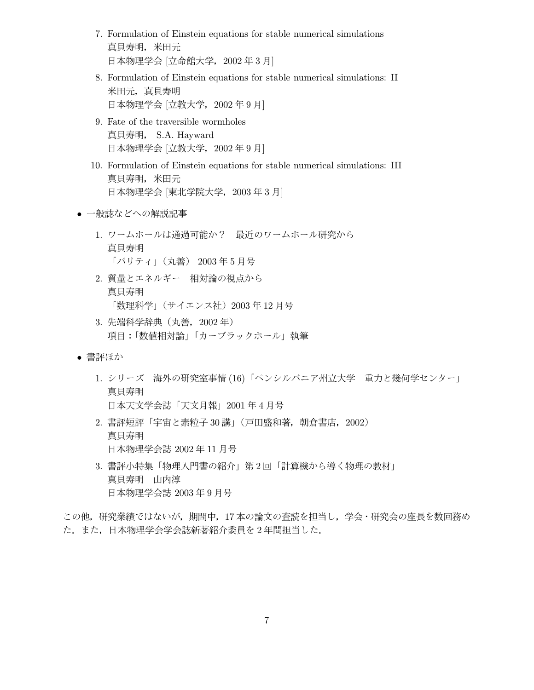- 7. Formulation of Einstein equations for stable numerical simulations 真貝寿明, 米田元 日本物理学会 [立命館大学, 2002年3月]
- 8. Formulation of Einstein equations for stable numerical simulations: II 米田元, 真貝寿明 日本物理学会 [立教大学, 2002 年 9 月]
- 9. Fate of the traversible wormholes 真貝寿明, S.A. Hayward 日本物理学会 [立教大学, 2002 年 9 月]
- 10. Formulation of Einstein equations for stable numerical simulations: III 真貝寿明, 米田元 日本物理学会 [東北学院大学, 2003年3月]
- 一般誌などへの解説記事
	- 1. ワームホールは通過可能か? 最近のワームホール研究から 真貝寿明 「パリティ」(丸善) 2003年5月号
	- 2. 質量とエネルギー 相対論の視点から 真貝寿明 「 数理科学」( サイ エン ス社) 2003 年 12 月号
	- 3. 先端科学辞典 (丸善, 2002年) 項目:「数値相対論」「カーブラックホール」執筆
- 書評ほか
	- 1. シリーズ 海外の研究室事情 (16)「ペンシルバニア州立大学 重力と幾何学センター」 真貝寿明 日本天文学会誌「 天文月報」 2001 年 4 月号
	- 2. 書評短評「宇宙と素粒子 30 講」(戸田盛和著, 朝倉書店, 2002) 真貝寿明 日本物理学会誌 2002 年 11 月号
	- 3. 書評小特集「物理入門書の紹介」第2回「計算機から導く物理の教材」 真貝寿明 山内淳 日本物理学会誌 2003 年 9 月号

この他, 研究業績ではないが, 期間中, 17本の論文の査読を担当し, 学会・研究会の座長を数回務め た.また,日本物理学会学会誌新著紹介委員を2年間担当した.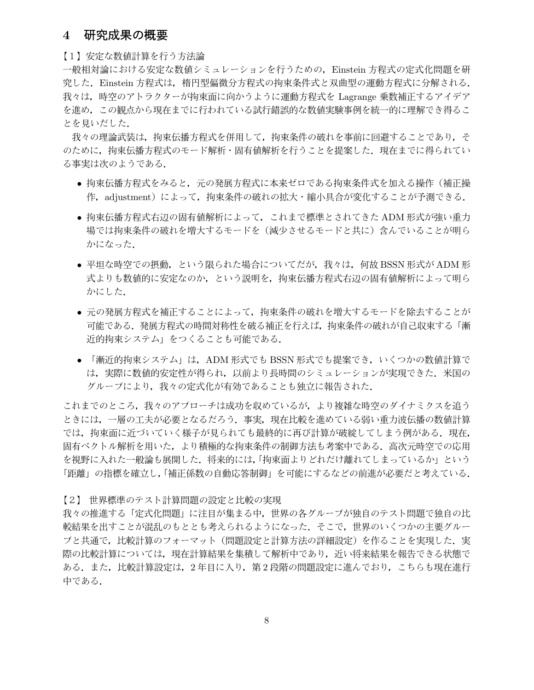### 4 研究成果の概要

【 1】 安 定な数値計算を 行う 方法論

一般相対論における安定な数値シミュレーションを行うための,Einstein 方程式の定式化問題を研 究した. Einstein 方程式は、楕円型偏微分方程式の拘束条件式と双曲型の運動方程式に分解される. 我々は,時空のアトラクターが拘束面に向かうように運動方程式を Lagrange 乗数補正するアイデア を進め、この観点から現在までに行われている試行錯誤的な数値実験事例を統一的に理解でき得るこ とを見いだした.

我々の理論武装は,拘束伝播方程式を併用して,拘束条件の破れを事前に回避することであり,そ のために,拘束伝播方程式のモード解析・固有値解析を行うことを提案した. 現在までに得られてい る事実は次のようである.

- 拘束伝播方程式をみると, 元の発展方程式に本来ゼロである拘束条件式を加える操作(補正操 作, adjustment) によって, 拘束条件の破れの拡大·縮小具合が変化することが予測できる.
- 拘束伝播方程式右辺の固有値解析によって,これまで標準とされてきた ADM 形式が強い重力 場では拘束条件の破れを増大するモードを(減少させるモードと共に)含んでいることが明ら かになった.
- 平坦な時空での摂動, という限られた場合についてだが, 我々は, 何故 BSSN 形式が ADM 形 式よりも数値的に安定なのか、という説明を、拘束伝播方程式右辺の固有値解析によって明ら かにした.
- 元の発展方程式を補正することによって,拘束条件の破れを増大するモードを除去することが 可能である. 発展方程式の時間対称性を破る補正を行えば, 拘束条件の破れが自己収束する「漸 近的拘束システム」をつくることも可能である.
- 「漸近的拘束システム」は,ADM 形式でも BSSN 形式でも提案でき,いくつかの数値計算で は、実際に数値的安定性が得られ、以前より長時間のシミュレーションが実現できた. 米国の グループにより,我々の定式化が有効であることも独立に報告された.

これまでのところ, 我々のアプローチは成功を収めているが, より複雑な時空のダイナミクスを追う ときには, 一層の工夫が必要となるだろう. 事実, 現在比較を進めている弱い重力波伝播の数値計算 では,拘束面に近づいていく様子が見られても最終的に再び計算が破綻してしまう例がある.現在, 固有ベクトル解析を用いた, より積極的な拘束条件の制御方法も考案中である. 高次元時空での応用 を視野に入れた一般論も展開した. 将来的には,「拘束面よりどれだけ離れてしまっているか」という 「距離」の指標を確立し,「補正係数の自動応答制御」を可能にするなどの前進が必要だと考えている.

【 2 】 世界標準の テスト計算問題の 設定と 比較 の 実現

我々の推進する「定式化問題」に注目が集まる中,世界の各グループが独自のテスト問題で独自の比 較結果を出すことが混乱のもととも考えられるようになった. そこで, 世界のいくつかの主要グルー プと共通で,比較計算のフォーマット(問題設定と計算方法の詳細設定)を作ることを実現した.実 際の比較計算については、現在計算結果を集積して解析中であり、近い将来結果を報告できる状態で ある. また, 比較計算設定は, 2年目に入り, 第2段階の問題設定に進んでおり, こちらも現在進行 中である.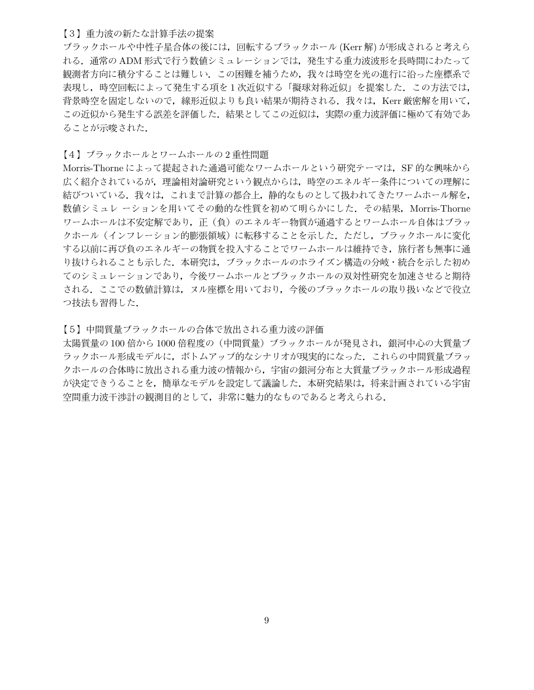#### 【3】 重力波の新たな計算手法の提案

ブラックホールや中性子星合体の後には, 回転するブラックホール (Kerr 解) が形成されると考えら れる. 通常の ADM 形式で行う数値シミュレーションでは, 発生する重力波波形を長時間にわたって 観測者方向に積分することは難しい. この困難を補うため, 我々は時空を光の進行に沿った座標系で 表現し,時空回転によって発生する項を1次近似する「擬球対称近似」を提案した. この方法では, 背景時空を固定しないので、線形近似よりも良い結果が期待される。我々は、Kerr 厳密解を用いて, この近似から発生する誤差を評価した. 結果としてこの近似は, 実際の重力波評価に極めて有効であ ることが示唆された.

【4】 ブラックホールとワームホールの2重性問題

Morris-Thorne によって提起された通過可能なワームホールという研究テーマは, SF 的な興味から 広く紹介されているが,理論相対論研究という観点からは,時空のエネルギー条件についての理解に 結びついている. 我々は、これまで計算の都合上,静的なものとして扱われてきたワームホール解を, 数値シミュレ ーションを用いてその動的な性質を初めて明らかにした. その結果, Morris-Thorne ワームホールは不安定解であり、正(負)のエネルギー物質が通過するとワームホール自体はブラッ クホール (インフレーション的膨張領域) に転移することを示した. ただし, ブラックホールに変化 する以前に再び負のエネルギーの物質を投入することでワームホールは維持でき、旅行者も無事に通 り抜けられることも示した. 本研究は, ブラックホールのホライズン構造の分岐・統合を示した初め てのシミュレーションであり、今後ワームホールとブラックホールの双対性研究を加速させると期待 される。ここでの数値計算は、ヌル座標を用いており、今後のブラックホールの取り扱いなどで役立 つ技法も習得した.

【 5】 中間 質量ブ ラ ックホ ー ル の 合体で 放出さ れ る 重力波の 評価

太陽質量の 100 倍から 1000 倍程度の (中間質量) ブラックホールが発見され、銀河中心の大質量ブ ラックホール形成モデルに, ボトムアップ的なシナリオが現実的になった. これらの中間質量ブラッ クホールの合体時に放出される重力波の情報から、宇宙の銀河分布と大質量ブラックホール形成過程 が決定できうることを、簡単なモデルを設定して議論した. 本研究結果は、将来計画されている宇宙 空間重力波干渉計の観測目的として、非常に魅力的なものであると考えられる.